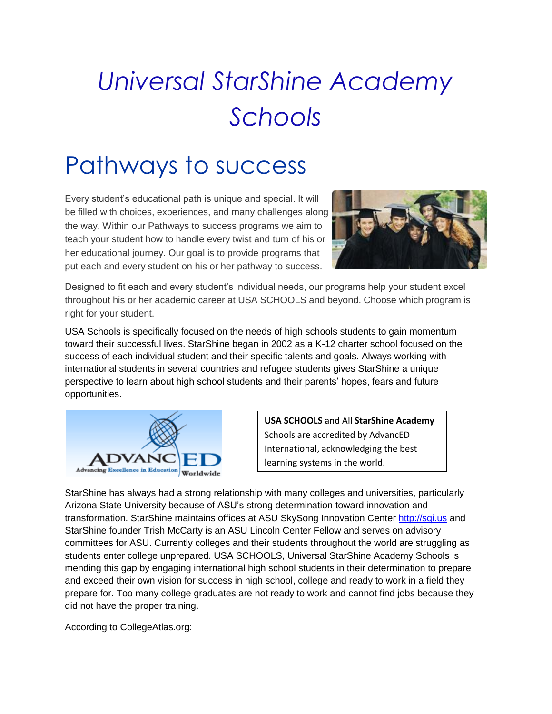# *Universal StarShine Academy Schools*

# Pathways to success

Every student's educational path is unique and special. It will be filled with choices, experiences, and many challenges along the way. Within our Pathways to success programs we aim to teach your student how to handle every twist and turn of his or her educational journey. Our goal is to provide programs that put each and every student on his or her pathway to success.



Designed to fit each and every student's individual needs, our programs help your student excel throughout his or her academic career at USA SCHOOLS and beyond. Choose which program is right for your student.

USA Schools is specifically focused on the needs of high schools students to gain momentum toward their successful lives. StarShine began in 2002 as a K-12 charter school focused on the success of each individual student and their specific talents and goals. Always working with international students in several countries and refugee students gives StarShine a unique perspective to learn about high school students and their parents' hopes, fears and future opportunities.



**USA SCHOOLS** and All **StarShine Academy** Schools are accredited by AdvancED International, acknowledging the best learning systems in the world.

StarShine has always had a strong relationship with many colleges and universities, particularly Arizona State University because of ASU's strong determination toward innovation and transformation. StarShine maintains offices at ASU SkySong Innovation Center [http://sqi.us](http://sqi.us/) and StarShine founder Trish McCarty is an ASU Lincoln Center Fellow and serves on advisory committees for ASU. Currently colleges and their students throughout the world are struggling as students enter college unprepared. USA SCHOOLS, Universal StarShine Academy Schools is mending this gap by engaging international high school students in their determination to prepare and exceed their own vision for success in high school, college and ready to work in a field they prepare for. Too many college graduates are not ready to work and cannot find jobs because they did not have the proper training.

According to CollegeAtlas.org: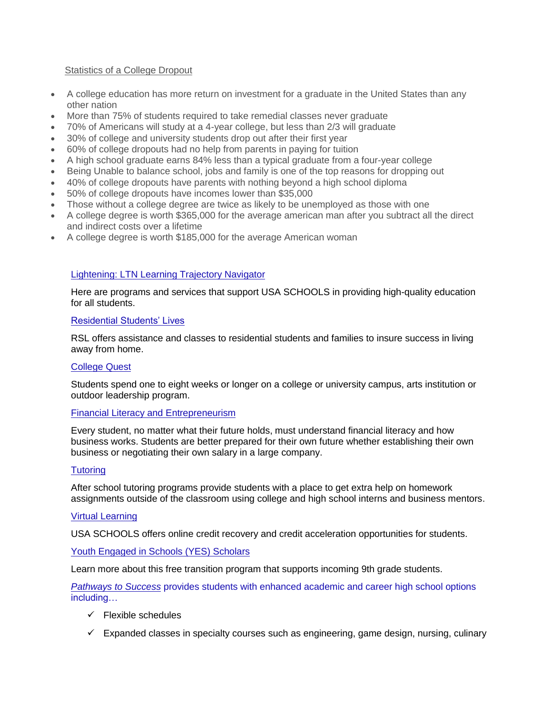#### Statistics of a College Dropout

- A college education has more return on investment for a graduate in the United States than any other nation
- More than 75% of students required to take remedial classes never graduate
- 70% of Americans will study at a 4-year college, but less than 2/3 will graduate
- 30% of college and university students drop out after their first year
- 60% of college dropouts had no help from parents in paying for tuition
- A high school graduate earns 84% less than a typical graduate from a four-year college
- Being Unable to balance school, jobs and family is one of the top reasons for dropping out
- 40% of college dropouts have parents with nothing beyond a high school diploma
- 50% of college dropouts have incomes lower than \$35,000
- Those without a college degree are twice as likely to be unemployed as those with one
- A college degree is worth \$365,000 for the average american man after you subtract all the direct and indirect costs over a lifetime
- A college degree is worth \$185,000 for the average American woman

## Lightening: LTN Learning Trajectory Navigator

Here are programs and services that support USA SCHOOLS in providing high-quality education for all students.

#### Residential Students' Lives

RSL offers assistance and classes to residential students and families to insure success in living away from home.

#### College Quest

Students spend one to eight weeks or longer on a college or university campus, arts institution or outdoor leadership program.

#### Financial Literacy and Entrepreneurism

Every student, no matter what their future holds, must understand financial literacy and how business works. Students are better prepared for their own future whether establishing their own business or negotiating their own salary in a large company.

## **Tutoring**

After school tutoring programs provide students with a place to get extra help on homework assignments outside of the classroom using college and high school interns and business mentors.

#### Virtual Learning

USA SCHOOLS offers online credit recovery and credit acceleration opportunities for students.

#### Youth Engaged in Schools (YES) Scholars

Learn more about this free transition program that supports incoming 9th grade students.

*Pathways to Success* provides students with enhanced academic and career high school options including…

- $\checkmark$  Flexible schedules
- $\checkmark$  Expanded classes in specialty courses such as engineering, game design, nursing, culinary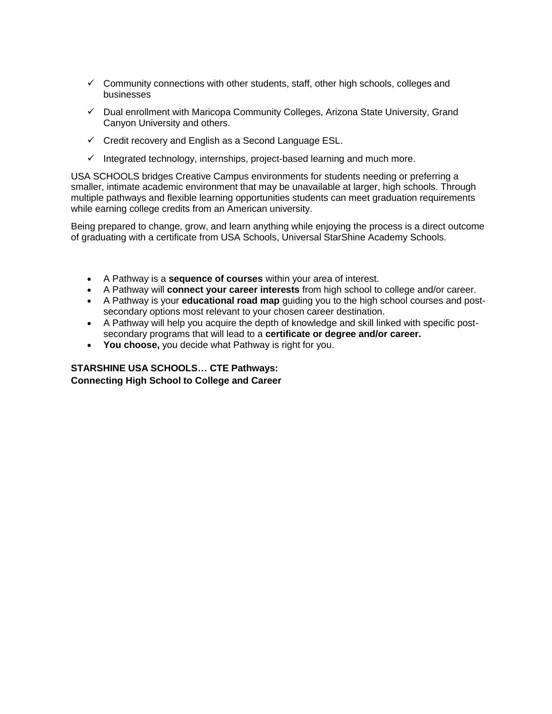- $\checkmark$  Community connections with other students, staff, other high schools, colleges and businesses
- $\checkmark$  Dual enrollment with Maricopa Community Colleges, Arizona State University, Grand Canyon University and others.
- $\checkmark$  Credit recovery and English as a Second Language ESL.
- $\checkmark$  Integrated technology, internships, project-based learning and much more.

USA SCHOOLS bridges Creative Campus environments for students needing or preferring a smaller, intimate academic environment that may be unavailable at larger, high schools. Through multiple pathways and flexible learning opportunities students can meet graduation requirements while earning college credits from an American university.

Being prepared to change, grow, and learn anything while enjoying the process is a direct outcome of graduating with a certificate from USA Schools, Universal StarShine Academy Schools.

- A Pathway is a **sequence of courses** within your area of interest.
- A Pathway will **connect your career interests** from high school to college and/or career.
- A Pathway is your **educational road map** guiding you to the high school courses and postsecondary options most relevant to your chosen career destination.
- A Pathway will help you acquire the depth of knowledge and skill linked with specific postsecondary programs that will lead to a **certificate or degree and/or career.**
- **You choose,** you decide what Pathway is right for you.

**STARSHINE USA SCHOOLS… CTE Pathways: Connecting High School to College and Career**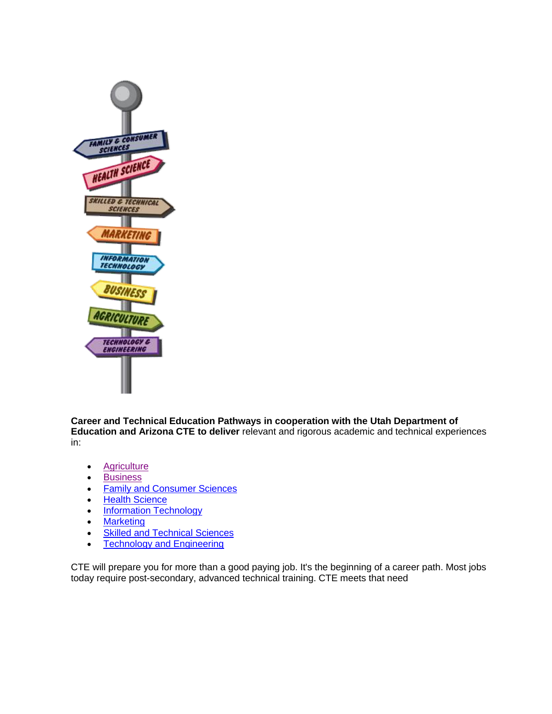

**Career and Technical Education Pathways in cooperation with the Utah Department of Education and Arizona CTE to deliver** relevant and rigorous academic and technical experiences in:

- [Agriculture](http://www.utahcte.org/career/agriculture.php)
- [Business](http://www.utahcte.org/career/business.php)
- **[Family and Consumer Sciences](http://www.utahcte.org/career/family-consumer-sciences.php)**
- [Health Science](http://www.utahcte.org/career/health-science.php)
- [Information Technology](http://www.utahcte.org/career/information-technology.php)
- [Marketing](http://www.utahcte.org/career/marketing.php)
- [Skilled and Technical Sciences](http://www.utahcte.org/career/skilled-technical-sciences.php)
- [Technology and Engineering](http://www.utahcte.org/career/technology-engineering.php)

CTE will prepare you for more than a good paying job. It's the beginning of a career path. Most jobs today require post-secondary, advanced technical training. CTE meets that need